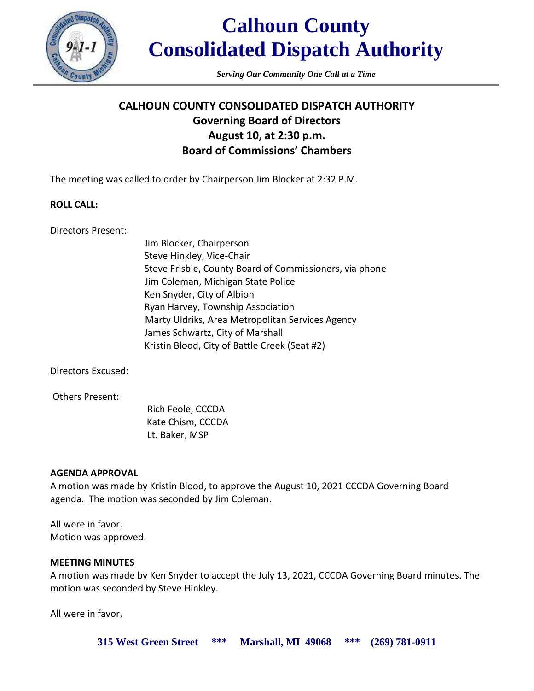

*Serving Our Community One Call at a Time*

# **CALHOUN COUNTY CONSOLIDATED DISPATCH AUTHORITY Governing Board of Directors August 10, at 2:30 p.m. Board of Commissions' Chambers**

The meeting was called to order by Chairperson Jim Blocker at 2:32 P.M.

#### **ROLL CALL:**

Directors Present:

Jim Blocker, Chairperson Steve Hinkley, Vice-Chair Steve Frisbie, County Board of Commissioners, via phone Jim Coleman, Michigan State Police Ken Snyder, City of Albion Ryan Harvey, Township Association Marty Uldriks, Area Metropolitan Services Agency James Schwartz, City of Marshall Kristin Blood, City of Battle Creek (Seat #2)

Directors Excused:

Others Present:

 Rich Feole, CCCDA Kate Chism, CCCDA Lt. Baker, MSP

## **AGENDA APPROVAL**

A motion was made by Kristin Blood, to approve the August 10, 2021 CCCDA Governing Board agenda. The motion was seconded by Jim Coleman.

All were in favor. Motion was approved.

#### **MEETING MINUTES**

A motion was made by Ken Snyder to accept the July 13, 2021, CCCDA Governing Board minutes. The motion was seconded by Steve Hinkley.

All were in favor.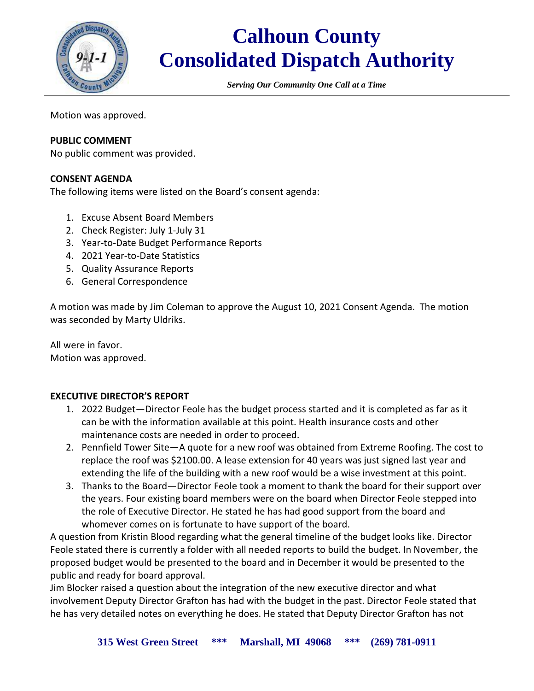

*Serving Our Community One Call at a Time*

Motion was approved.

## **PUBLIC COMMENT**

No public comment was provided.

#### **CONSENT AGENDA**

The following items were listed on the Board's consent agenda:

- 1. Excuse Absent Board Members
- 2. Check Register: July 1-July 31
- 3. Year-to-Date Budget Performance Reports
- 4. 2021 Year-to-Date Statistics
- 5. Quality Assurance Reports
- 6. General Correspondence

A motion was made by Jim Coleman to approve the August 10, 2021 Consent Agenda. The motion was seconded by Marty Uldriks.

All were in favor. Motion was approved.

#### **EXECUTIVE DIRECTOR'S REPORT**

- 1. 2022 Budget—Director Feole has the budget process started and it is completed as far as it can be with the information available at this point. Health insurance costs and other maintenance costs are needed in order to proceed.
- 2. Pennfield Tower Site—A quote for a new roof was obtained from Extreme Roofing. The cost to replace the roof was \$2100.00. A lease extension for 40 years was just signed last year and extending the life of the building with a new roof would be a wise investment at this point.
- 3. Thanks to the Board—Director Feole took a moment to thank the board for their support over the years. Four existing board members were on the board when Director Feole stepped into the role of Executive Director. He stated he has had good support from the board and whomever comes on is fortunate to have support of the board.

A question from Kristin Blood regarding what the general timeline of the budget looks like. Director Feole stated there is currently a folder with all needed reports to build the budget. In November, the proposed budget would be presented to the board and in December it would be presented to the public and ready for board approval.

Jim Blocker raised a question about the integration of the new executive director and what involvement Deputy Director Grafton has had with the budget in the past. Director Feole stated that he has very detailed notes on everything he does. He stated that Deputy Director Grafton has not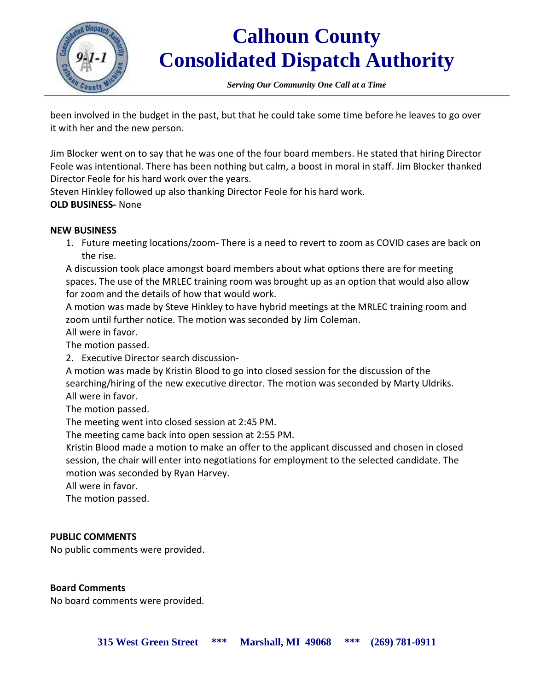

*Serving Our Community One Call at a Time*

been involved in the budget in the past, but that he could take some time before he leaves to go over it with her and the new person.

Jim Blocker went on to say that he was one of the four board members. He stated that hiring Director Feole was intentional. There has been nothing but calm, a boost in moral in staff. Jim Blocker thanked Director Feole for his hard work over the years.

Steven Hinkley followed up also thanking Director Feole for his hard work.

# **OLD BUSINESS-** None

## **NEW BUSINESS**

1. Future meeting locations/zoom- There is a need to revert to zoom as COVID cases are back on the rise.

A discussion took place amongst board members about what options there are for meeting spaces. The use of the MRLEC training room was brought up as an option that would also allow for zoom and the details of how that would work.

A motion was made by Steve Hinkley to have hybrid meetings at the MRLEC training room and zoom until further notice. The motion was seconded by Jim Coleman.

All were in favor.

The motion passed.

2. Executive Director search discussion-

A motion was made by Kristin Blood to go into closed session for the discussion of the searching/hiring of the new executive director. The motion was seconded by Marty Uldriks. All were in favor.

The motion passed.

The meeting went into closed session at 2:45 PM.

The meeting came back into open session at 2:55 PM.

Kristin Blood made a motion to make an offer to the applicant discussed and chosen in closed session, the chair will enter into negotiations for employment to the selected candidate. The motion was seconded by Ryan Harvey.

All were in favor.

The motion passed.

## **PUBLIC COMMENTS**

No public comments were provided.

## **Board Comments**

No board comments were provided.